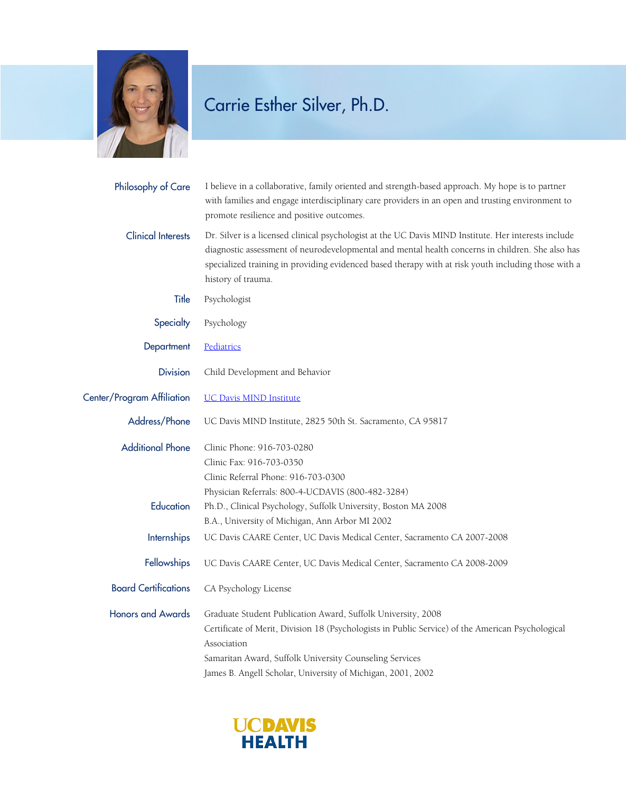

## Carrie Esther Silver, Ph.D.

| Philosophy of Care          | I believe in a collaborative, family oriented and strength-based approach. My hope is to partner<br>with families and engage interdisciplinary care providers in an open and trusting environment to<br>promote resilience and positive outcomes.                                                                                     |
|-----------------------------|---------------------------------------------------------------------------------------------------------------------------------------------------------------------------------------------------------------------------------------------------------------------------------------------------------------------------------------|
| <b>Clinical Interests</b>   | Dr. Silver is a licensed clinical psychologist at the UC Davis MIND Institute. Her interests include<br>diagnostic assessment of neurodevelopmental and mental health concerns in children. She also has<br>specialized training in providing evidenced based therapy with at risk youth including those with a<br>history of trauma. |
| Title                       | Psychologist                                                                                                                                                                                                                                                                                                                          |
| Specialty                   | Psychology                                                                                                                                                                                                                                                                                                                            |
| Department                  | Pediatrics                                                                                                                                                                                                                                                                                                                            |
| <b>Division</b>             | Child Development and Behavior                                                                                                                                                                                                                                                                                                        |
| Center/Program Affiliation  | <b>UC Davis MIND Institute</b>                                                                                                                                                                                                                                                                                                        |
| Address/Phone               | UC Davis MIND Institute, 2825 50th St. Sacramento, CA 95817                                                                                                                                                                                                                                                                           |
| <b>Additional Phone</b>     | Clinic Phone: 916-703-0280<br>Clinic Fax: 916-703-0350<br>Clinic Referral Phone: 916-703-0300                                                                                                                                                                                                                                         |
| Education                   | Physician Referrals: 800-4-UCDAVIS (800-482-3284)<br>Ph.D., Clinical Psychology, Suffolk University, Boston MA 2008<br>B.A., University of Michigan, Ann Arbor MI 2002                                                                                                                                                                |
| <b>Internships</b>          | UC Davis CAARE Center, UC Davis Medical Center, Sacramento CA 2007-2008                                                                                                                                                                                                                                                               |
| Fellowships                 | UC Davis CAARE Center, UC Davis Medical Center, Sacramento CA 2008-2009                                                                                                                                                                                                                                                               |
| <b>Board Certifications</b> | CA Psychology License                                                                                                                                                                                                                                                                                                                 |
| <b>Honors and Awards</b>    | Graduate Student Publication Award, Suffolk University, 2008<br>Certificate of Merit, Division 18 (Psychologists in Public Service) of the American Psychological<br>Association<br>Samaritan Award, Suffolk University Counseling Services<br>James B. Angell Scholar, University of Michigan, 2001, 2002                            |